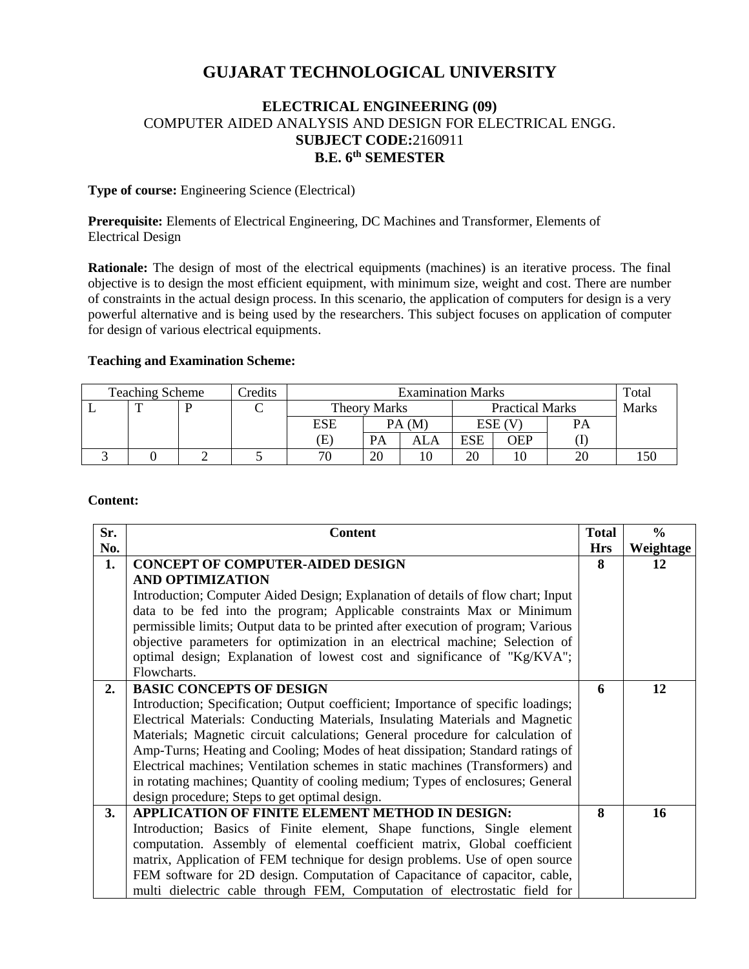# **GUJARAT TECHNOLOGICAL UNIVERSITY**

# **ELECTRICAL ENGINEERING (09)** COMPUTER AIDED ANALYSIS AND DESIGN FOR ELECTRICAL ENGG. **SUBJECT CODE:**2160911 **B.E. 6 th SEMESTER**

### **Type of course:** Engineering Science (Electrical)

**Prerequisite:** Elements of Electrical Engineering, DC Machines and Transformer, Elements of Electrical Design

**Rationale:** The design of most of the electrical equipments (machines) is an iterative process. The final objective is to design the most efficient equipment, with minimum size, weight and cost. There are number of constraints in the actual design process. In this scenario, the application of computers for design is a very powerful alternative and is being used by the researchers. This subject focuses on application of computer for design of various electrical equipments.

## **Teaching and Examination Scheme:**

| Credits<br><b>Teaching Scheme</b> |  |  | <b>Examination Marks</b>   |    |                        |            |            | Total        |  |
|-----------------------------------|--|--|----------------------------|----|------------------------|------------|------------|--------------|--|
|                                   |  |  | <b>Theory Marks</b>        |    | <b>Practical Marks</b> |            |            | <b>Marks</b> |  |
|                                   |  |  | ESE                        |    | PA(M)                  |            | $ESE$ (V)  |              |  |
|                                   |  |  | $\left( \mathrm{E}\right)$ | PА | ALA                    | <b>ESE</b> | <b>OEP</b> |              |  |
|                                   |  |  | 7C                         | 20 |                        | 20         |            |              |  |

#### **Content:**

| Sr. | <b>Content</b>                                                                    | <b>Total</b> | $\frac{0}{0}$ |
|-----|-----------------------------------------------------------------------------------|--------------|---------------|
| No. |                                                                                   | <b>Hrs</b>   | Weightage     |
| 1.  | <b>CONCEPT OF COMPUTER-AIDED DESIGN</b>                                           | 8            | 12            |
|     | <b>AND OPTIMIZATION</b>                                                           |              |               |
|     | Introduction; Computer Aided Design; Explanation of details of flow chart; Input  |              |               |
|     | data to be fed into the program; Applicable constraints Max or Minimum            |              |               |
|     | permissible limits; Output data to be printed after execution of program; Various |              |               |
|     | objective parameters for optimization in an electrical machine; Selection of      |              |               |
|     | optimal design; Explanation of lowest cost and significance of "Kg/KVA";          |              |               |
|     | Flowcharts.                                                                       |              |               |
| 2.  | <b>BASIC CONCEPTS OF DESIGN</b>                                                   | 6            | 12            |
|     | Introduction; Specification; Output coefficient; Importance of specific loadings; |              |               |
|     | Electrical Materials: Conducting Materials, Insulating Materials and Magnetic     |              |               |
|     | Materials; Magnetic circuit calculations; General procedure for calculation of    |              |               |
|     | Amp-Turns; Heating and Cooling; Modes of heat dissipation; Standard ratings of    |              |               |
|     | Electrical machines; Ventilation schemes in static machines (Transformers) and    |              |               |
|     | in rotating machines; Quantity of cooling medium; Types of enclosures; General    |              |               |
|     | design procedure; Steps to get optimal design.                                    |              |               |
| 3.  | APPLICATION OF FINITE ELEMENT METHOD IN DESIGN:                                   | 8            | 16            |
|     | Introduction; Basics of Finite element, Shape functions, Single element           |              |               |
|     | computation. Assembly of elemental coefficient matrix, Global coefficient         |              |               |
|     | matrix, Application of FEM technique for design problems. Use of open source      |              |               |
|     | FEM software for 2D design. Computation of Capacitance of capacitor, cable,       |              |               |
|     | multi dielectric cable through FEM, Computation of electrostatic field for        |              |               |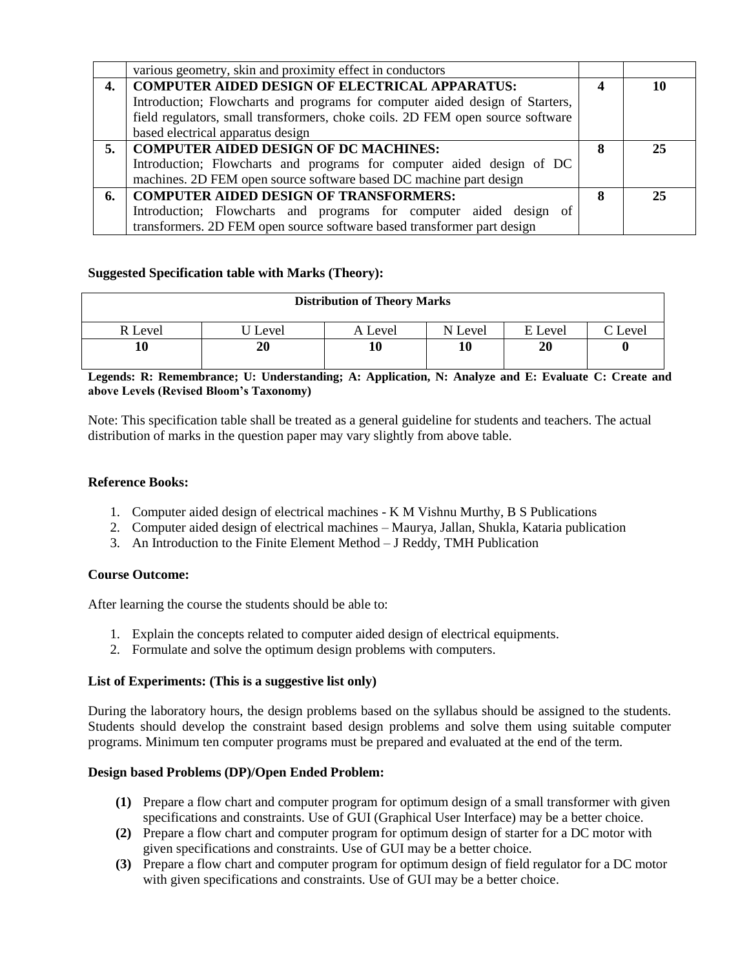|    | various geometry, skin and proximity effect in conductors                      |   |    |
|----|--------------------------------------------------------------------------------|---|----|
| 4. | COMPUTER AIDED DESIGN OF ELECTRICAL APPARATUS:                                 |   | 10 |
|    | Introduction; Flowcharts and programs for computer aided design of Starters,   |   |    |
|    | field regulators, small transformers, choke coils. 2D FEM open source software |   |    |
|    | based electrical apparatus design                                              |   |    |
| 5. | COMPUTER AIDED DESIGN OF DC MACHINES:                                          | 8 | 25 |
|    | Introduction; Flowcharts and programs for computer aided design of DC          |   |    |
|    | machines. 2D FEM open source software based DC machine part design             |   |    |
| 6. | COMPUTER AIDED DESIGN OF TRANSFORMERS:                                         |   | 25 |
|    | Introduction; Flowcharts and programs for computer aided design of             |   |    |
|    | transformers. 2D FEM open source software based transformer part design        |   |    |

# **Suggested Specification table with Marks (Theory):**

| <b>Distribution of Theory Marks</b> |       |         |         |                   |        |  |  |
|-------------------------------------|-------|---------|---------|-------------------|--------|--|--|
| R Level                             | Level | A Level | N Level | E Level           | CLevel |  |  |
|                                     | 20    | 10      |         | $\boldsymbol{20}$ |        |  |  |

**Legends: R: Remembrance; U: Understanding; A: Application, N: Analyze and E: Evaluate C: Create and above Levels (Revised Bloom's Taxonomy)**

Note: This specification table shall be treated as a general guideline for students and teachers. The actual distribution of marks in the question paper may vary slightly from above table.

## **Reference Books:**

- 1. Computer aided design of electrical machines K M Vishnu Murthy, B S Publications
- 2. Computer aided design of electrical machines Maurya, Jallan, Shukla, Kataria publication
- 3. An Introduction to the Finite Element Method J Reddy, TMH Publication

# **Course Outcome:**

After learning the course the students should be able to:

- 1. Explain the concepts related to computer aided design of electrical equipments.
- 2. Formulate and solve the optimum design problems with computers.

#### **List of Experiments: (This is a suggestive list only)**

During the laboratory hours, the design problems based on the syllabus should be assigned to the students. Students should develop the constraint based design problems and solve them using suitable computer programs. Minimum ten computer programs must be prepared and evaluated at the end of the term.

#### **Design based Problems (DP)/Open Ended Problem:**

- **(1)** Prepare a flow chart and computer program for optimum design of a small transformer with given specifications and constraints. Use of GUI (Graphical User Interface) may be a better choice.
- **(2)** Prepare a flow chart and computer program for optimum design of starter for a DC motor with given specifications and constraints. Use of GUI may be a better choice.
- **(3)** Prepare a flow chart and computer program for optimum design of field regulator for a DC motor with given specifications and constraints. Use of GUI may be a better choice.